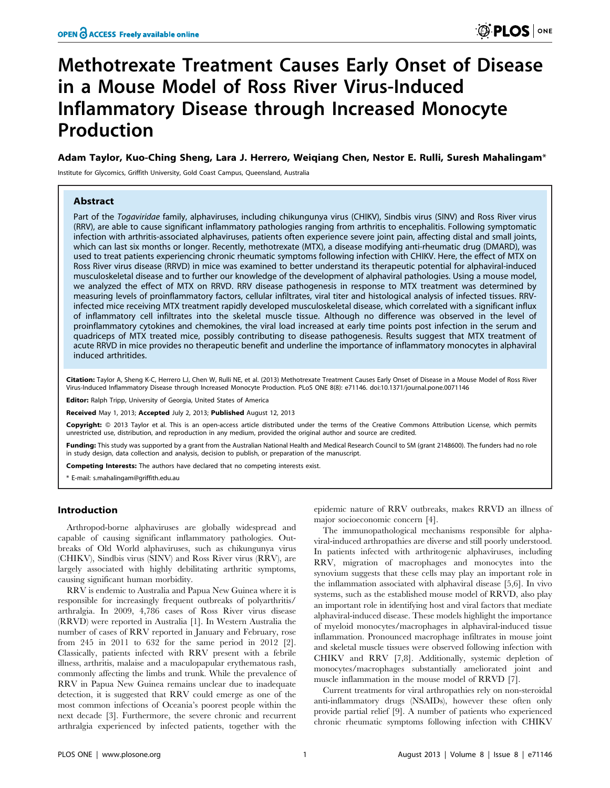# Methotrexate Treatment Causes Early Onset of Disease in a Mouse Model of Ross River Virus-Induced Inflammatory Disease through Increased Monocyte Production

# Adam Taylor, Kuo-Ching Sheng, Lara J. Herrero, Weiqiang Chen, Nestor E. Rulli, Suresh Mahalingam\*

Institute for Glycomics, Griffith University, Gold Coast Campus, Queensland, Australia

# Abstract

Part of the Togaviridae family, alphaviruses, including chikungunya virus (CHIKV), Sindbis virus (SINV) and Ross River virus (RRV), are able to cause significant inflammatory pathologies ranging from arthritis to encephalitis. Following symptomatic infection with arthritis-associated alphaviruses, patients often experience severe joint pain, affecting distal and small joints, which can last six months or longer. Recently, methotrexate (MTX), a disease modifying anti-rheumatic drug (DMARD), was used to treat patients experiencing chronic rheumatic symptoms following infection with CHIKV. Here, the effect of MTX on Ross River virus disease (RRVD) in mice was examined to better understand its therapeutic potential for alphaviral-induced musculoskeletal disease and to further our knowledge of the development of alphaviral pathologies. Using a mouse model, we analyzed the effect of MTX on RRVD. RRV disease pathogenesis in response to MTX treatment was determined by measuring levels of proinflammatory factors, cellular infiltrates, viral titer and histological analysis of infected tissues. RRVinfected mice receiving MTX treatment rapidly developed musculoskeletal disease, which correlated with a significant influx of inflammatory cell infiltrates into the skeletal muscle tissue. Although no difference was observed in the level of proinflammatory cytokines and chemokines, the viral load increased at early time points post infection in the serum and quadriceps of MTX treated mice, possibly contributing to disease pathogenesis. Results suggest that MTX treatment of acute RRVD in mice provides no therapeutic benefit and underline the importance of inflammatory monocytes in alphaviral induced arthritides.

Citation: Taylor A, Sheng K-C, Herrero LJ, Chen W, Rulli NE, et al. (2013) Methotrexate Treatment Causes Early Onset of Disease in a Mouse Model of Ross River Virus-Induced Inflammatory Disease through Increased Monocyte Production. PLoS ONE 8(8): e71146. doi:10.1371/journal.pone.0071146

Editor: Ralph Tripp, University of Georgia, United States of America

Received May 1, 2013; Accepted July 2, 2013; Published August 12, 2013

Copyright: @ 2013 Taylor et al. This is an open-access article distributed under the terms of the Creative Commons Attribution License, which permits unrestricted use, distribution, and reproduction in any medium, provided the original author and source are credited.

Funding: This study was supported by a grant from the Australian National Health and Medical Research Council to SM (grant 2148600). The funders had no role in study design, data collection and analysis, decision to publish, or preparation of the manuscript.

Competing Interests: The authors have declared that no competing interests exist.

\* E-mail: s.mahalingam@griffith.edu.au

# Introduction

Arthropod-borne alphaviruses are globally widespread and capable of causing significant inflammatory pathologies. Outbreaks of Old World alphaviruses, such as chikungunya virus (CHIKV), Sindbis virus (SINV) and Ross River virus (RRV), are largely associated with highly debilitating arthritic symptoms, causing significant human morbidity.

RRV is endemic to Australia and Papua New Guinea where it is responsible for increasingly frequent outbreaks of polyarthritis/ arthralgia. In 2009, 4,786 cases of Ross River virus disease (RRVD) were reported in Australia [1]. In Western Australia the number of cases of RRV reported in January and February, rose from 245 in 2011 to 632 for the same period in 2012 [2]. Classically, patients infected with RRV present with a febrile illness, arthritis, malaise and a maculopapular erythematous rash, commonly affecting the limbs and trunk. While the prevalence of RRV in Papua New Guinea remains unclear due to inadequate detection, it is suggested that RRV could emerge as one of the most common infections of Oceania's poorest people within the next decade [3]. Furthermore, the severe chronic and recurrent arthralgia experienced by infected patients, together with the

epidemic nature of RRV outbreaks, makes RRVD an illness of major socioeconomic concern [4].

The immunopathological mechanisms responsible for alphaviral-induced arthropathies are diverse and still poorly understood. In patients infected with arthritogenic alphaviruses, including RRV, migration of macrophages and monocytes into the synovium suggests that these cells may play an important role in the inflammation associated with alphaviral disease [5,6]. In vivo systems, such as the established mouse model of RRVD, also play an important role in identifying host and viral factors that mediate alphaviral-induced disease. These models highlight the importance of myeloid monocytes/macrophages in alphaviral-induced tissue inflammation. Pronounced macrophage infiltrates in mouse joint and skeletal muscle tissues were observed following infection with CHIKV and RRV [7,8]. Additionally, systemic depletion of monocytes/macrophages substantially ameliorated joint and muscle inflammation in the mouse model of RRVD [7].

Current treatments for viral arthropathies rely on non-steroidal anti-inflammatory drugs (NSAIDs), however these often only provide partial relief [9]. A number of patients who experienced chronic rheumatic symptoms following infection with CHIKV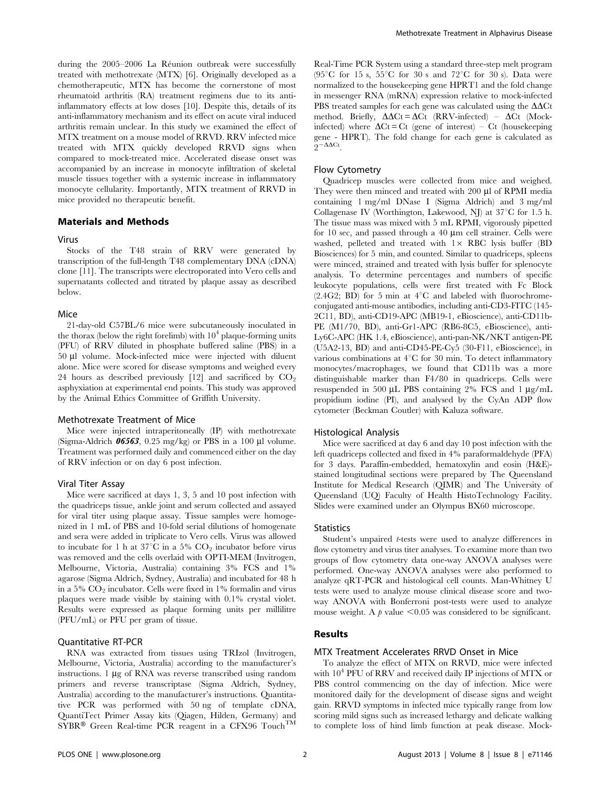during the 2005–2006 La Réunion outbreak were successfully treated with methotrexate (MTX) [6]. Originally developed as a chemotherapeutic, MTX has become the cornerstone of most rheumatoid arthritis (RA) treatment regimens due to its antiinflammatory effects at low doses [10]. Despite this, details of its anti-inflammatory mechanism and its effect on acute viral induced arthritis remain unclear. In this study we examined the effect of MTX treatment on a mouse model of RRVD. RRV infected mice treated with MTX quickly developed RRVD signs when compared to mock-treated mice. Accelerated disease onset was accompanied by an increase in monocyte infiltration of skeletal muscle tissues together with a systemic increase in inflammatory monocyte cellularity. Importantly, MTX treatment of RRVD in mice provided no therapeutic benefit.

# Materials and Methods

## Virus

Stocks of the T48 strain of RRV were generated by transcription of the full-length T48 complementary DNA (cDNA) clone [11]. The transcripts were electroporated into Vero cells and supernatants collected and titrated by plaque assay as described below.

#### Mice

21-day-old C57BL/6 mice were subcutaneously inoculated in the thorax (below the right forelimb) with  $10^4$  plaque-forming units (PFU) of RRV diluted in phosphate buffered saline (PBS) in a 50 ml volume. Mock-infected mice were injected with diluent alone. Mice were scored for disease symptoms and weighed every 24 hours as described previously  $[12]$  and sacrificed by  $CO<sub>2</sub>$ asphyxiation at experimental end points. This study was approved by the Animal Ethics Committee of Griffith University.

# Methotrexate Treatment of Mice

Mice were injected intraperitoneally (IP) with methotrexate (Sigma-Aldrich  $06563$ , 0.25 mg/kg) or PBS in a 100 µl volume. Treatment was performed daily and commenced either on the day of RRV infection or on day 6 post infection.

#### Viral Titer Assay

Mice were sacrificed at days 1, 3, 5 and 10 post infection with the quadriceps tissue, ankle joint and serum collected and assayed for viral titer using plaque assay. Tissue samples were homogenized in 1 mL of PBS and 10-fold serial dilutions of homogenate and sera were added in triplicate to Vero cells. Virus was allowed to incubate for 1 h at 37 $^{\circ}$ C in a 5%  $CO_{2}$  incubator before virus was removed and the cells overlaid with OPTI-MEM (Invitrogen, Melbourne, Victoria, Australia) containing 3% FCS and 1% agarose (Sigma Aldrich, Sydney, Australia) and incubated for 48 h in a  $5\%$  CO<sub>2</sub> incubator. Cells were fixed in  $1\%$  formalin and virus plaques were made visible by staining with 0.1% crystal violet. Results were expressed as plaque forming units per millilitre (PFU/mL) or PFU per gram of tissue.

# Quantitative RT-PCR

RNA was extracted from tissues using TRIzol (Invitrogen, Melbourne, Victoria, Australia) according to the manufacturer's instructions.  $1 \mu g$  of RNA was reverse transcribed using random primers and reverse transcriptase (Sigma Aldrich, Sydney, Australia) according to the manufacturer's instructions. Quantitative PCR was performed with 50 ng of template cDNA, QuantiTect Primer Assay kits (Qiagen, Hilden, Germany) and  $SYBR^@$  Green Real-time PCR reagent in a CFX96 Touch<sup>TM</sup> Real-Time PCR System using a standard three-step melt program (95<sup>o</sup>C for 15 s, 55<sup>o</sup>C for 30 s and 72<sup>o</sup>C for 30 s). Data were normalized to the housekeeping gene HPRT1 and the fold change in messenger RNA (mRNA) expression relative to mock-infected PBS treated samples for each gene was calculated using the  $\Delta\Delta$ Ct method. Briefly,  $\Delta \Delta \text{C}_t = \Delta \text{C}_t$  (RRV-infected) –  $\Delta \text{C}_t$  (Mockinfected) where  $\Delta$ Ct = Ct (gene of interest) – Ct (housekeeping gene - HPRT). The fold change for each gene is calculated as  $2-\Delta\Delta$ Ct

#### Flow Cytometry

Quadricep muscles were collected from mice and weighed. They were then minced and treated with 200 µl of RPMI media containing 1 mg/ml DNase I (Sigma Aldrich) and 3 mg/ml Collagenase IV (Worthington, Lakewood, NJ) at  $37^{\circ}$ C for 1.5 h. The tissue mass was mixed with 5 mL RPMI, vigorously pipetted for 10 sec, and passed through a 40  $\mu$ m cell strainer. Cells were washed, pelleted and treated with  $1 \times RBC$  lysis buffer (BD Biosciences) for 5 min, and counted. Similar to quadriceps, spleens were minced, strained and treated with lysis buffer for splenocyte analysis. To determine percentages and numbers of specific leukocyte populations, cells were first treated with Fc Block  $(2.4G2; BD)$  for 5 min at  $4^{\circ}$ C and labeled with fluorochromeconjugated anti-mouse antibodies, including anti-CD3-FITC (145- 2C11, BD), anti-CD19-APC (MB19-1, eBioscience), anti-CD11b-PE (M1/70, BD), anti-Gr1-APC (RB6-8C5, eBioscience), anti-Ly6C-APC (HK 1.4, eBioscience), anti-pan-NK/NKT antigen-PE (U5A2-13, BD) and anti-CD45-PE-Cy5 (30-F11, eBioscience), in various combinations at  $4^{\circ}$ C for 30 min. To detect inflammatory monocytes/macrophages, we found that CD11b was a more distinguishable marker than F4/80 in quadriceps. Cells were resuspended in 500  $\mu$ L PBS containing 2% FCS and 1  $\mu$ g/mL propidium iodine (PI), and analysed by the CyAn ADP flow cytometer (Beckman Coutler) with Kaluza software.

#### Histological Analysis

Mice were sacrificed at day 6 and day 10 post infection with the left quadriceps collected and fixed in 4% paraformaldehyde (PFA) for 3 days. Paraffin-embedded, hematoxylin and eosin (H&E) stained longitudinal sections were prepared by The Queensland Institute for Medical Research (QIMR) and The University of Queensland (UQ) Faculty of Health HistoTechnology Facility. Slides were examined under an Olympus BX60 microscope.

# **Statistics**

Student's unpaired *t*-tests were used to analyze differences in flow cytometry and virus titer analyses. To examine more than two groups of flow cytometry data one-way ANOVA analyses were performed. One-way ANOVA analyses were also performed to analyze qRT-PCR and histological cell counts. Man-Whitney U tests were used to analyze mouse clinical disease score and twoway ANOVA with Bonferroni post-tests were used to analyze mouse weight. A  $\beta$  value  $\leq 0.05$  was considered to be significant.

# Results

# MTX Treatment Accelerates RRVD Onset in Mice

To analyze the effect of MTX on RRVD, mice were infected with  $10^4$  PFU of RRV and received daily IP injections of MTX or PBS control commencing on the day of infection. Mice were monitored daily for the development of disease signs and weight gain. RRVD symptoms in infected mice typically range from low scoring mild signs such as increased lethargy and delicate walking to complete loss of hind limb function at peak disease. Mock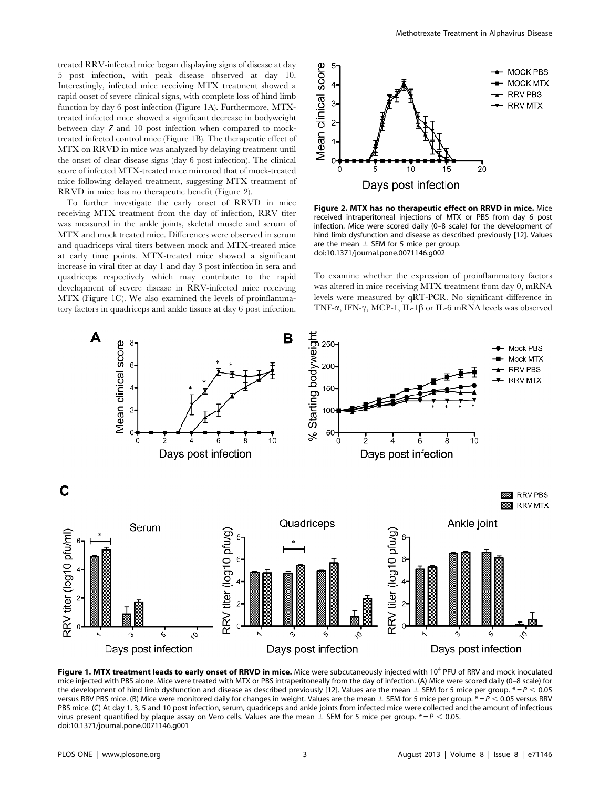treated RRV-infected mice began displaying signs of disease at day 5 post infection, with peak disease observed at day 10. Interestingly, infected mice receiving MTX treatment showed a rapid onset of severe clinical signs, with complete loss of hind limb function by day 6 post infection (Figure 1A). Furthermore, MTXtreated infected mice showed a significant decrease in bodyweight between day 7 and 10 post infection when compared to mocktreated infected control mice (Figure 1B). The therapeutic effect of MTX on RRVD in mice was analyzed by delaying treatment until the onset of clear disease signs (day 6 post infection). The clinical score of infected MTX-treated mice mirrored that of mock-treated mice following delayed treatment, suggesting MTX treatment of RRVD in mice has no therapeutic benefit (Figure 2).

To further investigate the early onset of RRVD in mice receiving MTX treatment from the day of infection, RRV titer was measured in the ankle joints, skeletal muscle and serum of MTX and mock treated mice. Differences were observed in serum and quadriceps viral titers between mock and MTX-treated mice at early time points. MTX-treated mice showed a significant increase in viral titer at day 1 and day 3 post infection in sera and quadriceps respectively which may contribute to the rapid development of severe disease in RRV-infected mice receiving MTX (Figure 1C). We also examined the levels of proinflammatory factors in quadriceps and ankle tissues at day 6 post infection.



Figure 2. MTX has no therapeutic effect on RRVD in mice. Mice received intraperitoneal injections of MTX or PBS from day 6 post infection. Mice were scored daily (0–8 scale) for the development of hind limb dysfunction and disease as described previously [12]. Values are the mean  $\pm$  SEM for 5 mice per group. doi:10.1371/journal.pone.0071146.g002

To examine whether the expression of proinflammatory factors was altered in mice receiving MTX treatment from day 0, mRNA levels were measured by qRT-PCR. No significant difference in TNF- $\alpha$ , IFN- $\gamma$ , MCP-1, IL-1 $\beta$  or IL-6 mRNA levels was observed



Figure 1. MTX treatment leads to early onset of RRVD in mice. Mice were subcutaneously injected with 10<sup>4</sup> PFU of RRV and mock inoculated mice injected with PBS alone. Mice were treated with MTX or PBS intraperitoneally from the day of infection. (A) Mice were scored daily (0–8 scale) for the development of hind limb dysfunction and disease as described previously [12]. Values are the mean  $\pm$  SEM for 5 mice per group.  $* = P < 0.05$ versus RRV PBS mice. (B) Mice were monitored daily for changes in weight. Values are the mean  $\pm$  SEM for 5 mice per group.  $* = P < 0.05$  versus RRV PBS mice. (C) At day 1, 3, 5 and 10 post infection, serum, quadriceps and ankle joints from infected mice were collected and the amount of infectious virus present quantified by plaque assay on Vero cells. Values are the mean  $\pm$  SEM for 5 mice per group.  $* = P < 0.05$ . doi:10.1371/journal.pone.0071146.g001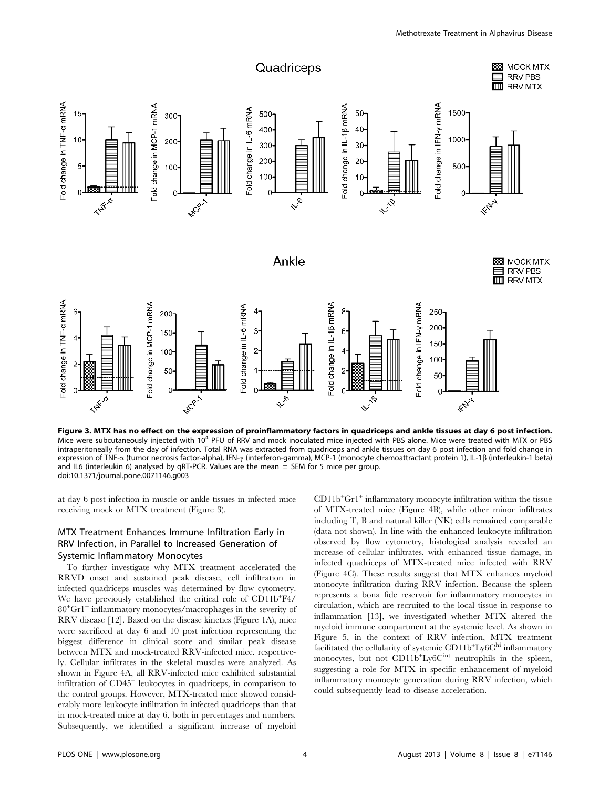

Figure 3. MTX has no effect on the expression of proinflammatory factors in quadriceps and ankle tissues at day 6 post infection. Mice were subcutaneously injected with 10<sup>4</sup> PFU of RRV and mock inoculated mice injected with PBS alone. Mice were treated with MTX or PBS intraperitoneally from the day of infection. Total RNA was extracted from quadriceps and ankle tissues on day 6 post infection and fold change in expression of TNF-α (tumor necrosis factor-alpha), IFN-γ (interferon-gamma), MCP-1 (monocyte chemoattractant protein 1), IL-1β (interleukin-1 beta) and IL6 (interleukin 6) analysed by qRT-PCR. Values are the mean  $\pm$  SEM for 5 mice per group. doi:10.1371/journal.pone.0071146.g003

at day 6 post infection in muscle or ankle tissues in infected mice receiving mock or MTX treatment (Figure 3).

# MTX Treatment Enhances Immune Infiltration Early in RRV Infection, in Parallel to Increased Generation of Systemic Inflammatory Monocytes

To further investigate why MTX treatment accelerated the RRVD onset and sustained peak disease, cell infiltration in infected quadriceps muscles was determined by flow cytometry. We have previously established the critical role of CD11b+F4/ 80+Gr1<sup>+</sup> inflammatory monocytes/macrophages in the severity of RRV disease [12]. Based on the disease kinetics (Figure 1A), mice were sacrificed at day 6 and 10 post infection representing the biggest difference in clinical score and similar peak disease between MTX and mock-treated RRV-infected mice, respectively. Cellular infiltrates in the skeletal muscles were analyzed. As shown in Figure 4A, all RRV-infected mice exhibited substantial infiltration of CD45<sup>+</sup> leukocytes in quadriceps, in comparison to the control groups. However, MTX-treated mice showed considerably more leukocyte infiltration in infected quadriceps than that in mock-treated mice at day 6, both in percentages and numbers. Subsequently, we identified a significant increase of myeloid

CD11b+Gr1<sup>+</sup> inflammatory monocyte infiltration within the tissue of MTX-treated mice (Figure 4B), while other minor infiltrates including T, B and natural killer (NK) cells remained comparable (data not shown). In line with the enhanced leukocyte infiltration observed by flow cytometry, histological analysis revealed an increase of cellular infiltrates, with enhanced tissue damage, in infected quadriceps of MTX-treated mice infected with RRV (Figure 4C). These results suggest that MTX enhances myeloid monocyte infiltration during RRV infection. Because the spleen represents a bona fide reservoir for inflammatory monocytes in circulation, which are recruited to the local tissue in response to inflammation [13], we investigated whether MTX altered the myeloid immune compartment at the systemic level. As shown in Figure 5, in the context of RRV infection, MTX treatment facilitated the cellularity of systemic  $\text{CD11b}\text{+Ly6C}^{\text{hi}}$  inflammatory monocytes, but not CD11b<sup>+</sup>Ly6C<sup>int</sup> neutrophils in the spleen, suggesting a role for MTX in specific enhancement of myeloid inflammatory monocyte generation during RRV infection, which could subsequently lead to disease acceleration.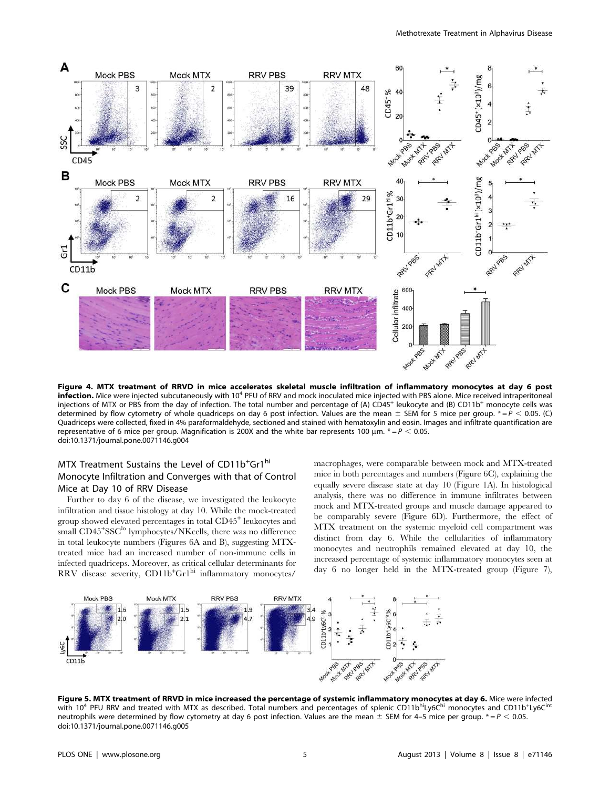

Figure 4. MTX treatment of RRVD in mice accelerates skeletal muscle infiltration of inflammatory monocytes at day 6 post infection. Mice were injected subcutaneously with 10<sup>4</sup> PFU of RRV and mock inoculated mice injected with PBS alone. Mice received intraperitoneal injections of MTX or PBS from the day of infection. The total number and percentage of (A) CD45<sup>+</sup> leukocyte and (B) CD11b<sup>+</sup> monocyte cells was determined by flow cytometry of whole quadriceps on day 6 post infection. Values are the mean  $\pm$  SEM for 5 mice per group.  $* = P < 0.05$ . (C) Quadriceps were collected, fixed in 4% paraformaldehyde, sectioned and stained with hematoxylin and eosin. Images and infiltrate quantification are representative of 6 mice per group. Magnification is 200X and the white bar represents 100  $\mu$ m.  $* = P < 0.05$ . doi:10.1371/journal.pone.0071146.g004

# MTX Treatment Sustains the Level of CD11b<sup>+</sup>Gr1<sup>hi</sup> Monocyte Infiltration and Converges with that of Control Mice at Day 10 of RRV Disease

Further to day 6 of the disease, we investigated the leukocyte infiltration and tissue histology at day 10. While the mock-treated group showed elevated percentages in total CD45<sup>+</sup> leukocytes and small CD45<sup>+</sup>SSC<sup>lo</sup> lymphocytes/NKcells, there was no difference in total leukocyte numbers (Figures 6A and B), suggesting MTXtreated mice had an increased number of non-immune cells in infected quadriceps. Moreover, as critical cellular determinants for RRV disease severity, CD11b<sup>+</sup>Gr1<sup>hi</sup> inflammatory monocytes/

macrophages, were comparable between mock and MTX-treated mice in both percentages and numbers (Figure 6C), explaining the equally severe disease state at day 10 (Figure 1A). In histological analysis, there was no difference in immune infiltrates between mock and MTX-treated groups and muscle damage appeared to be comparably severe (Figure 6D). Furthermore, the effect of MTX treatment on the systemic myeloid cell compartment was distinct from day 6. While the cellularities of inflammatory monocytes and neutrophils remained elevated at day 10, the increased percentage of systemic inflammatory monocytes seen at day 6 no longer held in the MTX-treated group (Figure 7),



**Figure 5. MTX treatment of RRVD in mice increased the percentage of systemic inflammatory monocytes at day 6.** Mice were infected<br>with 10<sup>4</sup> PFU RRV and treated with MTX as described. Total numbers and percentages of sple neutrophils were determined by flow cytometry at day 6 post infection. Values are the mean  $\pm$  SEM for 4–5 mice per group.  $* = P < 0.05$ . doi:10.1371/journal.pone.0071146.g005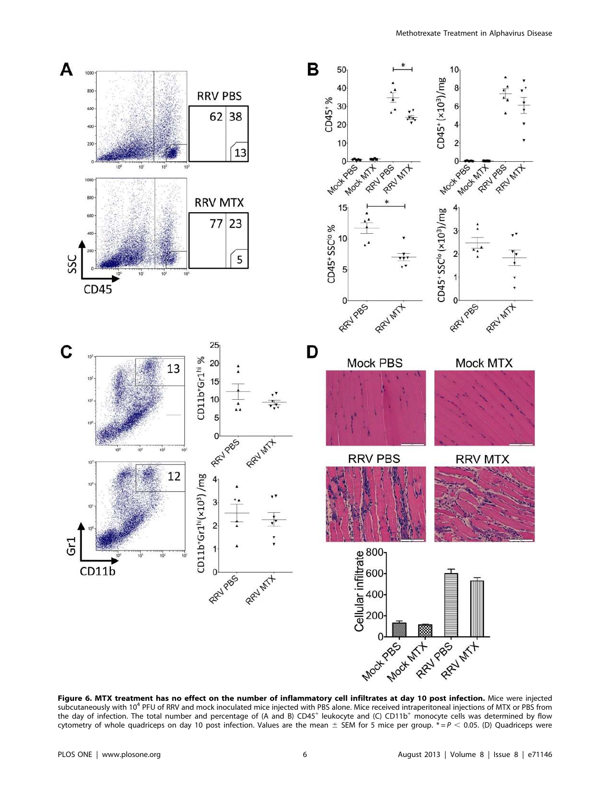

Figure 6. MTX treatment has no effect on the number of inflammatory cell infiltrates at day 10 post infection. Mice were injected subcutaneously with 10<sup>4</sup> PFU of RRV and mock inoculated mice injected with PBS alone. Mice received intraperitoneal injections of MTX or PBS from the day of infection. The total number and percentage of (A and B) CD45<sup>+</sup> leukocyte and (C) CD11b<sup>+</sup> monocyte cells was determined by flow cytometry of whole quadriceps on day 10 post infection. Values are the mean  $\pm$  SEM for 5 mice per group.  $* = P < 0.05$ . (D) Quadriceps were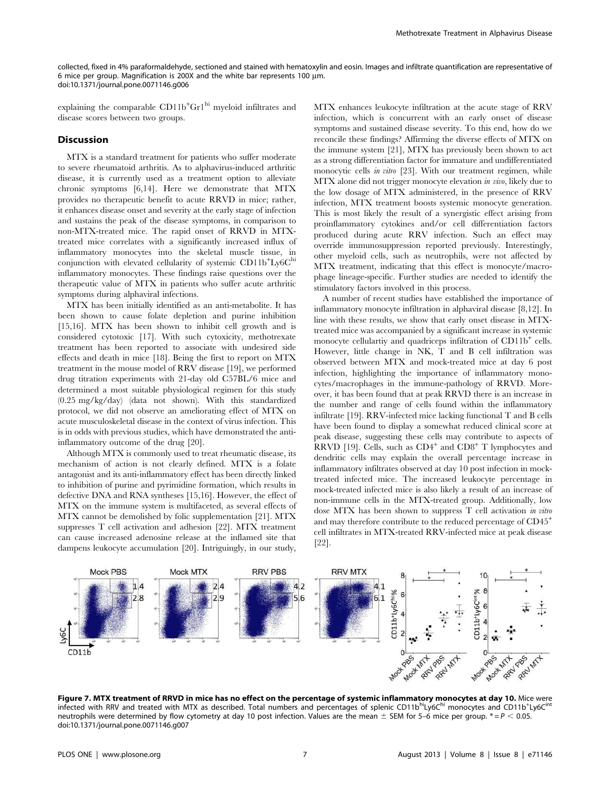collected, fixed in 4% paraformaldehyde, sectioned and stained with hematoxylin and eosin. Images and infiltrate quantification are representative of 6 mice per group. Magnification is 200X and the white bar represents 100 µm. doi:10.1371/journal.pone.0071146.g006

explaining the comparable  $CD11b<sup>+</sup>Gr1<sup>hi</sup>$  myeloid infiltrates and disease scores between two groups.

# Discussion

MTX is a standard treatment for patients who suffer moderate to severe rheumatoid arthritis. As to alphavirus-induced arthritic disease, it is currently used as a treatment option to alleviate chronic symptoms [6,14]. Here we demonstrate that MTX provides no therapeutic benefit to acute RRVD in mice; rather, it enhances disease onset and severity at the early stage of infection and sustains the peak of the disease symptoms, in comparison to non-MTX-treated mice. The rapid onset of RRVD in MTXtreated mice correlates with a significantly increased influx of inflammatory monocytes into the skeletal muscle tissue, in conjunction with elevated cellularity of systemic CD11b+Ly6Chi inflammatory monocytes. These findings raise questions over the therapeutic value of MTX in patients who suffer acute arthritic symptoms during alphaviral infections.

MTX has been initially identified as an anti-metabolite. It has been shown to cause folate depletion and purine inhibition [15,16]. MTX has been shown to inhibit cell growth and is considered cytotoxic [17]. With such cytoxicity, methotrexate treatment has been reported to associate with undesired side effects and death in mice [18]. Being the first to report on MTX treatment in the mouse model of RRV disease [19], we performed drug titration experiments with 21-day old C57BL/6 mice and determined a most suitable physiological regimen for this study (0.25 mg/kg/day) (data not shown). With this standardized protocol, we did not observe an ameliorating effect of MTX on acute musculoskeletal disease in the context of virus infection. This is in odds with previous studies, which have demonstrated the antiinflammatory outcome of the drug [20].

Although MTX is commonly used to treat rheumatic disease, its mechanism of action is not clearly defined. MTX is a folate antagonist and its anti-inflammatory effect has been directly linked to inhibition of purine and pyrimidine formation, which results in defective DNA and RNA syntheses [15,16]. However, the effect of MTX on the immune system is multifaceted, as several effects of MTX cannot be demolished by folic supplementation [21]. MTX suppresses T cell activation and adhesion [22]. MTX treatment can cause increased adenosine release at the inflamed site that dampens leukocyte accumulation [20]. Intriguingly, in our study, MTX enhances leukocyte infiltration at the acute stage of RRV infection, which is concurrent with an early onset of disease symptoms and sustained disease severity. To this end, how do we reconcile these findings? Affirming the diverse effects of MTX on the immune system [21], MTX has previously been shown to act as a strong differentiation factor for immature and undifferentiated monocytic cells *in vitro* [23]. With our treatment regimen, while MTX alone did not trigger monocyte elevation in vivo, likely due to the low dosage of MTX administered, in the presence of RRV infection, MTX treatment boosts systemic monocyte generation. This is most likely the result of a synergistic effect arising from proinflammatory cytokines and/or cell differentiation factors produced during acute RRV infection. Such an effect may override immunosuppression reported previously. Interestingly, other myeloid cells, such as neutrophils, were not affected by MTX treatment, indicating that this effect is monocyte/macrophage lineage-specific. Further studies are needed to identify the stimulatory factors involved in this process.

A number of recent studies have established the importance of inflammatory monocyte infiltration in alphaviral disease [8,12]. In line with these results, we show that early onset disease in MTXtreated mice was accompanied by a significant increase in systemic monocyte cellulartiy and quadriceps infiltration of CD11b<sup>+</sup> cells. However, little change in NK, T and B cell infiltration was observed between MTX and mock-treated mice at day 6 post infection, highlighting the importance of inflammatory monocytes/macrophages in the immune-pathology of RRVD. Moreover, it has been found that at peak RRVD there is an increase in the number and range of cells found within the inflammatory infiltrate [19]. RRV-infected mice lacking functional T and B cells have been found to display a somewhat reduced clinical score at peak disease, suggesting these cells may contribute to aspects of RRVD [19]. Cells, such as CD4<sup>+</sup> and CD8<sup>+</sup> T lymphocytes and dendritic cells may explain the overall percentage increase in inflammatory infiltrates observed at day 10 post infection in mocktreated infected mice. The increased leukocyte percentage in mock-treated infected mice is also likely a result of an increase of non-immune cells in the MTX-treated group. Additionally, low dose MTX has been shown to suppress T cell activation in vitro and may therefore contribute to the reduced percentage of CD45<sup>+</sup> cell infiltrates in MTX-treated RRV-infected mice at peak disease [22].



Figure 7. MTX treatment of RRVD in mice has no effect on the percentage of systemic inflammatory monocytes at day 10. Mice were infected with RRV and treated with MTX as described. Total numbers and percentages of splenic CD11b<sup>hi</sup>Ly6C<sup>hi</sup> monocytes and CD11b<sup>+</sup>Ly6C<sup>int</sup> neutrophils were determined by flow cytometry at day 10 post infection. Values are the mean  $\pm$  SEM for 5–6 mice per group.  $\ast = P < 0.05$ . doi:10.1371/journal.pone.0071146.g007